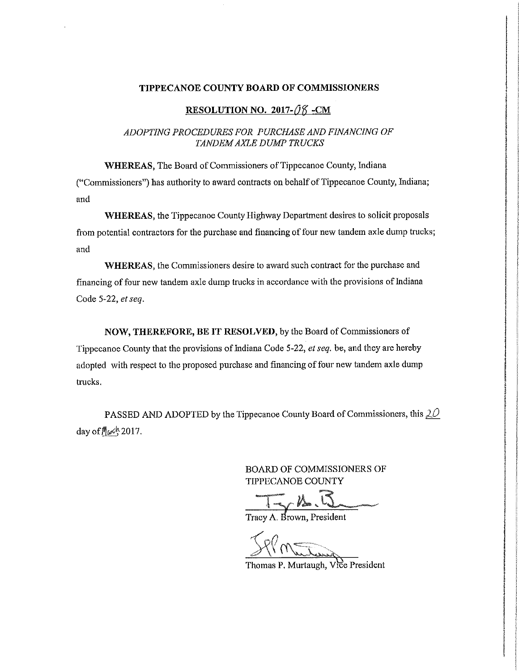## TIPPECANOE COUNTY BOARD OF COMMISSIONERS

## RESOLUTION NO. 2017- $\partial$ 8 -CM

## ADOPTING PROCEDURES FOR PURCHASE AND FINANCING OF TANDEM AXLE DUMP TRUCKS

**WHEREAS**, The Board of Commissioners of Tippecanoe County, Indiana

("Commissioners") has authority to award contracts on behalf of Tippecanoe County, Indiana; and

WHEREAS, the Tippecanoe County Highway Department desires to solicit proposals from potential contractors for the purchase and financing of four new tandem axle dump trucks; and

WHEREAS, the Commissioners desire to award such contract for the purchase and financing of four new tandem axle dump trucks in accordance with the provisions of Indiana Code 5-22, et seq.

NOW, THEREFORE, BE IT RESOLVED, by the Board of Commissioners of Tippecanoe County that the provisions of Indiana Code 5-22, et seq. be, and they are hereby adopted with respect to the proposed purchase and financing of four new tandem axle dump trucks.

PASSED AND ADOPTED by the Tippecanoe County Board of Commissioners, this  $20$ day of March 2017.

> BOARD OF COMMISSIONERS OF TIPPECANOE COUNTY

Tracy A. Brown, President

Thomas P. Murtaugh, Vice President